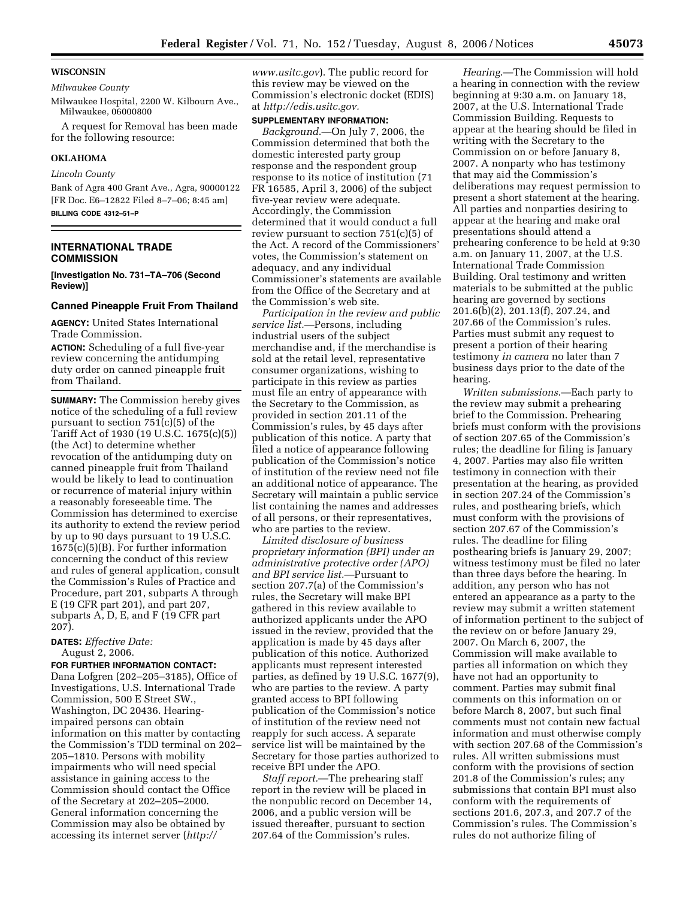### **WISCONSIN**

#### *Milwaukee County*

Milwaukee Hospital, 2200 W. Kilbourn Ave., Milwaukee, 06000800

A request for Removal has been made for the following resource:

### **OKLAHOMA**

### *Lincoln County*

Bank of Agra 400 Grant Ave., Agra, 90000122 [FR Doc. E6–12822 Filed 8–7–06; 8:45 am] **BILLING CODE 4312–51–P** 

**INTERNATIONAL TRADE COMMISSION** 

**[Investigation No. 731–TA–706 (Second Review)]** 

# **Canned Pineapple Fruit From Thailand**

**AGENCY:** United States International Trade Commission.

**ACTION:** Scheduling of a full five-year review concerning the antidumping duty order on canned pineapple fruit from Thailand.

**SUMMARY:** The Commission hereby gives notice of the scheduling of a full review pursuant to section 751(c)(5) of the Tariff Act of 1930 (19 U.S.C. 1675(c)(5)) (the Act) to determine whether revocation of the antidumping duty on canned pineapple fruit from Thailand would be likely to lead to continuation or recurrence of material injury within a reasonably foreseeable time. The Commission has determined to exercise its authority to extend the review period by up to 90 days pursuant to 19 U.S.C. 1675(c)(5)(B). For further information concerning the conduct of this review and rules of general application, consult the Commission's Rules of Practice and Procedure, part 201, subparts A through E (19 CFR part 201), and part 207, subparts A, D, E, and F (19 CFR part 207).

### **DATES:** *Effective Date:*  August 2, 2006.

### **FOR FURTHER INFORMATION CONTACT:**

Dana Lofgren (202–205–3185), Office of Investigations, U.S. International Trade Commission, 500 E Street SW., Washington, DC 20436. Hearingimpaired persons can obtain information on this matter by contacting the Commission's TDD terminal on 202– 205–1810. Persons with mobility impairments who will need special assistance in gaining access to the Commission should contact the Office of the Secretary at 202–205–2000. General information concerning the Commission may also be obtained by accessing its internet server (*http://* 

*www.usitc.gov*). The public record for this review may be viewed on the Commission's electronic docket (EDIS) at *http://edis.usitc.gov.* 

#### **SUPPLEMENTARY INFORMATION:**

*Background*.—On July 7, 2006, the Commission determined that both the domestic interested party group response and the respondent group response to its notice of institution (71 FR 16585, April 3, 2006) of the subject five-year review were adequate. Accordingly, the Commission determined that it would conduct a full review pursuant to section 751(c)(5) of the Act. A record of the Commissioners' votes, the Commission's statement on adequacy, and any individual Commissioner's statements are available from the Office of the Secretary and at the Commission's web site.

*Participation in the review and public service list.*—Persons, including industrial users of the subject merchandise and, if the merchandise is sold at the retail level, representative consumer organizations, wishing to participate in this review as parties must file an entry of appearance with the Secretary to the Commission, as provided in section 201.11 of the Commission's rules, by 45 days after publication of this notice. A party that filed a notice of appearance following publication of the Commission's notice of institution of the review need not file an additional notice of appearance. The Secretary will maintain a public service list containing the names and addresses of all persons, or their representatives, who are parties to the review.

*Limited disclosure of business proprietary information (BPI) under an administrative protective order (APO) and BPI service list.*—Pursuant to section 207.7(a) of the Commission's rules, the Secretary will make BPI gathered in this review available to authorized applicants under the APO issued in the review, provided that the application is made by 45 days after publication of this notice. Authorized applicants must represent interested parties, as defined by 19 U.S.C. 1677(9), who are parties to the review. A party granted access to BPI following publication of the Commission's notice of institution of the review need not reapply for such access. A separate service list will be maintained by the Secretary for those parties authorized to receive BPI under the APO.

*Staff report.*—The prehearing staff report in the review will be placed in the nonpublic record on December 14, 2006, and a public version will be issued thereafter, pursuant to section 207.64 of the Commission's rules.

*Hearing*.—The Commission will hold a hearing in connection with the review beginning at 9:30 a.m. on January 18, 2007, at the U.S. International Trade Commission Building. Requests to appear at the hearing should be filed in writing with the Secretary to the Commission on or before January 8, 2007. A nonparty who has testimony that may aid the Commission's deliberations may request permission to present a short statement at the hearing. All parties and nonparties desiring to appear at the hearing and make oral presentations should attend a prehearing conference to be held at 9:30 a.m. on January 11, 2007, at the U.S. International Trade Commission Building. Oral testimony and written materials to be submitted at the public hearing are governed by sections 201.6(b)(2), 201.13(f), 207.24, and 207.66 of the Commission's rules. Parties must submit any request to present a portion of their hearing testimony *in camera* no later than 7 business days prior to the date of the hearing.

*Written submissions*.—Each party to the review may submit a prehearing brief to the Commission. Prehearing briefs must conform with the provisions of section 207.65 of the Commission's rules; the deadline for filing is January 4, 2007. Parties may also file written testimony in connection with their presentation at the hearing, as provided in section 207.24 of the Commission's rules, and posthearing briefs, which must conform with the provisions of section 207.67 of the Commission's rules. The deadline for filing posthearing briefs is January 29, 2007; witness testimony must be filed no later than three days before the hearing. In addition, any person who has not entered an appearance as a party to the review may submit a written statement of information pertinent to the subject of the review on or before January 29, 2007. On March 6, 2007, the Commission will make available to parties all information on which they have not had an opportunity to comment. Parties may submit final comments on this information on or before March 8, 2007, but such final comments must not contain new factual information and must otherwise comply with section 207.68 of the Commission's rules. All written submissions must conform with the provisions of section 201.8 of the Commission's rules; any submissions that contain BPI must also conform with the requirements of sections 201.6, 207.3, and 207.7 of the Commission's rules. The Commission's rules do not authorize filing of